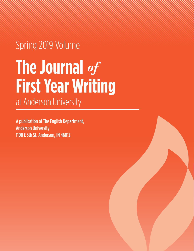# Spring 2019 Volume **The Journal** *of*  **First Year Writing** at Anderson University

A publication of The English Department, Anderson University 1100 E 5th St. Anderson, IN 46012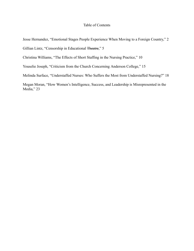# Table of Contents

Jesse Hernandez, "Emotional Stages People Experience When Moving to a Foreign Country," 2

Gillian Lintz, "Censorship in Educational Theatre," 5

Christina Williams, "The Effects of Short Staffing in the Nursing Practice," 10

Youselie Joseph, "Criticism from the Church Concerning Anderson College," 15

Melinda Surface, "Understaffed Nurses: Who Suffers the Most from Understaffed Nursing?" 18

Megan Moran, "How Women's Intelligence, Success, and Leadership is Misrepresented in the Media," 23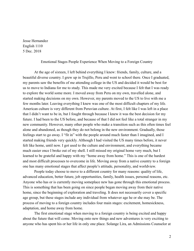Jesse Hernandez English 1110 5 Dec. 2018

Emotional Stages People Experience When Moving to a Foreign Country

At the age of sixteen, I left behind everything I knew: friends, family, culture, and a beautiful diverse country. I grew up in Trujillo, Peru and went to school there. Once I graduated, my parents saw the benefits of me attending college in the US and decided it would be best for us to move to Indiana for me to study. This made me very excited because I felt that I was ready to explore the world some more. I moved away from Peru on my own, travelled alone, and started making decisions on my own. However, my parents moved to the US to live with me a few months later. Leaving everything I knew was one of the most difficult chapters of my life. American culture is very different from Peruvian culture. At first, I felt like I was left in a place that I didn't want to be in, but I fought through because I knew it was the best decision for my future. I had been to the US before, and because of that I did not feel like a total stranger in my new community. However, many other people who make a transition such as this often times feel alone and abandoned, as though they do not belong in the new environment. Gradually, those feelings start to go away. I "fit in" with the people around much faster than I imagined, and I started making friends very quickly. Although I had visited the US many times before, it never felt like home, until now. I got used to the culture and environment, and everything became much easier once I broke out of my shell. I still missed my original home very much, but I learned to be grateful and happy with my "home away from home." This is one of the hardest and most difficult processes to overcome in life. Moving away from a native country to a foreign one has many emotional stages that affect people's attitude, personality, and worldview.

People today choose to move to a different country for many reasons: quality of life, advanced education, better future, job opportunities, family, health issues, personal reasons, etc. Anyone who has or is currently moving someplace new has gone through this emotional process. This is something that has been going on since people began moving away from their native home, since the beginning of exploration and traveling. It does not necessarily cover a specific age group, but these stages include any individual from whatever age he or she may be. The process of moving to a foreign country includes four main stages: excitement, homesickness, adaptation, and home away from home.

The first emotional stage when moving to a foreign country is being excited and happy about the future that will come. Moving onto new things and new adventures is very exciting to anyone who has spent his or her life in only one place. Solange Lira, an Admissions Counselor at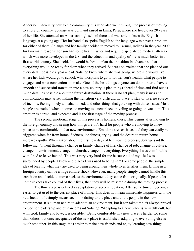Anderson University new to the community this year, also went through the process of moving to a foreign country. Solange was born and raised in Lima, Peru, where she lived over 20 years of her life. She attended an American high school there and was able to learn the English language at a young age. Her husband also spoke English so the language was never a problem for either of them. Solange and her family decided to moved to Carmel, Indiana in the year 2000 for two main reasons: her son had some health issues and required specialized medical attention which was more developed in the US, and the education and quality of life is much better in a first world country. She decided it would be best to plan the transition in advance so that everything would be ready for them when they arrived. She was so excited that she planned out every detail possible a year ahead. Solange knew where she was going, where she would live, where her kids would go to school, what hospitals to go to for her son's health, what people to engage, and what connections to make. One of the best things anyone can do in order to have a smooth and successful transition into a new country is plan things ahead of time and find out as much detail as possible about the future destination. If there is no set plan, many issues and complications may arise, making the transition very difficult: no place to stay or live, no source of income, feeling lonely and abandoned, and other things that go along with those issues. Most people are excited when it comes to moving to a new place, traveling or going on vacation. This emotion is normal and expected and is the first stage of the moving process.

The second emotional stage of this process is homesickness. This begins after moving to the foreign country and seeing how things are. It's hard for people who are moving to a new place to be comfortable in that new environment. Emotions are sensitive, and they can easily be triggered when far from home. Sadness, loneliness, crying, and the desire to return home increase rapidly. When asked about the first few days of her moving process, Solange said the following: "I went through a change in family, change of life, change of job, change of culture, change of environment, change of church, change of everything. Everything I was comfortable with I had to leave behind. This was very very hard for me because all of my life I was surrounded by people I knew and places I was used to being in." For some people, the simple idea of leaving what they are used to being around their whole lives terrifies them. Living in a foreign country can be a huge culture shock. However, many people simply cannot handle this transition and decide to move back to the environment they came from originally. If people let homesickness take control of their lives, then they will be miserable during the moving process.

The third stage is defined as adaptation or accommodation. After some time, it becomes easier to get used to the current place of living. This does not mean immediate happiness with the new location. It simply means accommodating to the place and to the people in the new environment. It's human nature to adapt to an environment, but it can take time. "I always prayed to God for leadership and guidance," said Solange. "Adapting to a new place is very difficult, but with God, family and love, it is possible." Being comfortable in a new place is harder for some than others, but once acceptance of the new place is established, adapting to everything else is much smoother. In this stage, it is easier to make new friends and enjoy learning new things.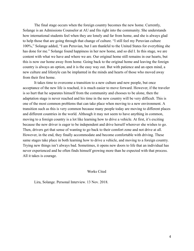The final stage occurs when the foreign country becomes the new home. Currently, Solange is an Admissions Counselor at AU and fits right into the community. She understands how international students feel when they are lonely and far from home, and she is always glad to help those that are going through that change of culture. "I still feel my Peruvian culture 100%," Solange added, "I am Peruvian, but I am thankful to the United States for everything she has done for me." Solange found happiness in her new home, and so did I. In this stage, we are content with what we have and where we are. Our original home still remains in our hearts, but this is now our home away from home. Going back to the original home and leaving the foreign country is always an option, and it is the easy way out. But with patience and an open mind, a new culture and lifestyle can be implanted in the minds and hearts of those who moved away from their first home.

It takes time to overcome a transition to a new culture and new people, but once acceptance of the new life is reached, it is much easier to move forward. However, if the traveler is so hurt that he separates himself from the community and chooses to be alone, then the adaptation stage is never reached and his time in the new country will be very difficult. This is one of the most common problems that can take place when moving to a new environment. A transition such as this is very common because many people today are moving to different places and different countries in the world. Although it may not seem to have anything in common, moving to a foreign country is a lot like learning how to drive a vehicle. At first, it's exciting because the new driver is eager to be independent and drive herself wherever she wishes to go. Then, drivers get that sense of wanting to go back to their comfort zone and not drive at all. However, in the end, they finally accommodate and become comfortable with driving. These same stages take place in both learning how to drive a vehicle, and moving to a foreign country. Trying new things isn't always bad. Sometimes, it opens new doors to life that an individual has never experienced and he often finds himself growing more than he expected with that process. All it takes is courage.

Works Cited

Lira, Solange. Personal Interview. 13 Nov. 2018.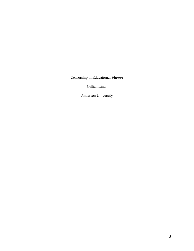Censorship in Educational Theatre

Gillian Lintz

Anderson University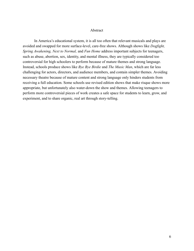## Abstract

In America's educational system, it is all too often that relevant musicals and plays are avoided and swapped for more surface-level, care-free shows. Although shows like *Dogfight*, *Spring Awakening, Next to Normal, and Fun Home address important subjects for teenagers,* such as abuse, abortion, sex, identity, and mental illness, they are typically considered too controversial for high schoolers to perform because of mature themes and strong language. Instead, schools produce shows like *Bye Bye Birdie* and *The Music Man*, which are far less challenging for actors, directors, and audience members, and contain simpler themes. Avoiding necessary theatre because of mature content and strong language only hinders students from receiving a full education. Some schools use revised edition shows that make risque shows more appropriate, but unfortunately also water-down the show and themes. Allowing teenagers to perform more controversial pieces of work creates a safe space for students to learn, grow, and experiment, and to share organic, real art through story-telling.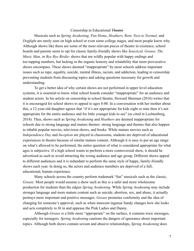# Censorship in Educational Theatre

Musicals such as Spring Awakening, Fun Home, Heathers, Rent, Next to Normal, and *Dogfight* are rarely seen on high school or even some college stages, and most people know why. Although shows like these are some of the most relevant pieces of theatre in existence, school boards and parents seem to opt for classic family-friendly shows like *Seussical, Grease, The Music Man,* or *Bye Bye Birdie*- shows that are wildly popular with happy endings and toe-tapping numbers, but lacking in the organic honesty and relatability that more provocative shows encompass. These shows deemed "inappropriate" by most schools address important issues such as rape, equality, suicide, mental illness, racism, and addiction, leading to censorship preventing students from discussing topics and asking questions necessary for growth and understanding.

To get a better idea of why certain shows are not performed in upper level education systems, it is essential to know what school boards consider "inappropriate" for an audience and student actors. In his article on censorship in school theatre, Howard Sherman (2016) writes that it is encouraged for school shows to appeal to ages 8-80. In a conversation with her mother about this, a 12-year-old daughter agrees that "if it's not appropriate for kids eight or nine then it's not appropriate for the entire audience and for little younger kids to see" (as cited in Lechtenberg, 2018). Thus, shows such as *Spring Awakening* and *Heathers* are deemed inappropriate for schools due to strong language and mature themes- strong language and themes that also happen to inhabit popular movies, television shows, and books. While mature movies such as *Independence Day* and *Inception* are played in classrooms, students are deprived of educational experiences in theatre because of similar mature content. Although it is easy to put an age range on what's allowed to be performed, the entire question of what is considered appropriate for what ages is subjective. If a high school wants to perform a more controversial show, it should be advertised as such to avoid attracting the wrong audience and age group. Different shows appeal to different audiences and it is redundant to perform the same style of happy, family-friendly shows each year. In doing so, the actors and audience members are deprived of a full, educational, human experience.

Many schools across the country perform trademark "fun" musicals such as the classic, *Grease*. Most people would assume a show such as this is a safer and more wholesome production for students than the edgier *Spring Awakening*. While *Spring Awakening* may include stronger language and more mature content such as suicide, abortion, sex, and abuse, it actually portrays more important and positive messages. *Grease* promotes conformity and the idea of changing for someone's approval, such as when innocent ingenue Sandy changes how she looks and acts completely to fit in and appease the Pink Ladies and Danny.

Although *Grease* is a little more "appropriate" on the surface, it contains toxic messages, especially for teenagers. *Spring Awakening* cautions the dangers of ignorance about important topics. Although both shows contain sexism and abusive relationships, *Spring Awakening* does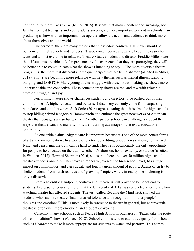not normalize them like *Grease* (Miller, 2018). It seems that mature content and swearing, both familiar to most teenagers and young adults anyway, are more important to avoid in schools than producing a show with an important message that allow the actors and audience to think more about themselves and the world.

Furthermore, there are many reasons that these edgy, controversial shows should be performed in high schools and colleges. Newer, contemporary shows are becoming easier for teens and almost everyone to relate to. Theatre Studies student and director Freddie Miller states that "if students are able to feel represented by the characters that they are portraying, they will be better able to communicate what the show is intending to say... The more diverse a theatre program is, the more that different and unique perspectives are being shared" (as cited in Miller, 2018). Shows are becoming more relatable with new themes such as mental illness, identity, bullying, and LGBTQ+. Many young adults struggle with these issues, making the shows more understandable and connective. These contemporary shows are real and raw with relatable emotion, struggle, and joy.

Performing mature shows challenges students and directors to be pushed out of their comfort zones. A higher education and better self-discovery can only come from surpassing boundaries and comfort zones. Jack Serio (2014) agrees, stating that "it is time for high schools to stop hiding behind Rodgers  $&$  Hammerstein and embrace the great new works of American theater that teenagers are so hungry for." No other part of school can challenge a student the ways that theatre can, and many schools aren't taking advantage of that extra educational opportunity.

As one critic claims, edgy theatre is important because it's one of the most honest forms of art and communication . In a world of photoshop, editing, biased news stations, normalized lying, and censoring, the truth can be hard to find. Theatre is occasionally the only opportunity for people to be educated on the truth, whether it's abortion, homosexuality, or suicide (as cited in Wallace,  $2017$ ). Howard Sherman  $(2016)$  states that there are over 50 million high school theatre attendees annually. This proves that theatre, even at the high school level, has a huge impact on communities, and can educate and touch a great amount of people. Adults often try to shelter students from harsh realities and "grown up" topics, when, in reality, the sheltering is only a disservice.

From a scientific standpoint, controversial theatre is still proven to be beneficial to students. Professor of education reform at the University of Arkansas conducted a test to see how watching theatre has affected students. The test, called Reading the Mind Test, showed that students who saw live theatre "had increased tolerance and recognition of other people's thoughts and emotions." This is most likely in reference to theatre in general, but controversial theatre is often even more emotional and thought-provoking.

Currently, many schools, such as Pearce High School in Richardson, Texas, take the route of "school edition" shows (Wallace, 2018). School editions tend to cut out vulgarity from shows such as *Heathers* to make it more appropriate for students to watch and perform. This comes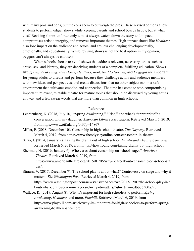with many pros and cons, but the cons seem to outweigh the pros. These revised editions allow students to perform edgier shows while keeping parents and school boards happy, but at what cost? Revising shows unfortunately almost always waters down the story and impact, compromises artistic integrity, and removes important themes. High-impact shows like *Heathers* also lose impact on the audience and actors, and are less challenging developmentally, emotionally, and educationally. While revising shows is not the best option in my opinion, beggars can't always be choosers.

When schools choose to avoid shows that address relevant, necessary topics such as abuse, sex, and identity, they are depriving students of a complete, fulfilling education. Shows like Spring Awakening, Fun Home, Heathers, Rent, Next to Normal, and Dogfight are important for young adults to discuss and perform because they challenge actors and audience members with new ideas and perspectives, and create discussions that no other subject can in a safe environment that cultivates emotion and connection. The time has come to stop compromising important, relevant, relatable theatre for mature topics that should be discussed by young adults anyway and a few swear words that are more than common in high schools.

## References

- Lechtenberg, K. (2018, July 10). "Spring Awakening," "Rise," and what's "appropriate": a conversation with my daughter. *American Library Association*. Retrieved March 6, 2019, from https://www.oif.ala.org/oif/?p=14867
- Miller, F. (2018, December 10). Censorship in high school theatre. *The Odyssey*. Retrieved March 4, 2019, from https://www.theodysseyonline.com/censorship-in-theatre
- Serio, J. (2014, January 2). Taking the drama out of high school. *Howlround Theatre Commons.* Retrieved March 6, 2019, from https://howlround.com/taking-drama-out-high-school
- Sherman, H. (2016, January 6). Who cares about censorship on school stages? *American Theatre.* Retrieved March 6, 2019, from https://www.americantheatre.org/2015/01/06/why-i-care-about-censorship-on-school-sta ges/.
- Strauss, V. (2017, December 7). The school play is about what!? Controversy on stage and why it matters. The Washington Post. Retrieved March 4, 2019, from https://www.washingtonpost.com/news/answer-sheet/wp/2017/12/07/the-school-play-is-a bout-what-controversy-on-stage-and-why-it-matters/?utm\_term=.dbbd6300a723
- Wallace, K. (2017, August 8). Why it's important for high schoolers to perform *Spring Awakening, Heathers, and more. Playbill. Retrieved March 6, 2019, from* http://www.playbill.com/article/why-its-important-for-high-schoolers-to-perform-springawakening-heathers-and-more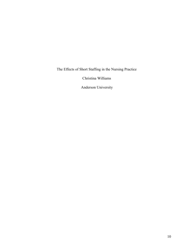The Effects of Short Staffing in the Nursing Practice

Christina Williams

Anderson University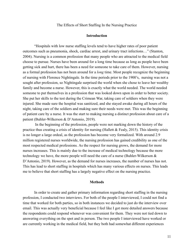The Effects of Short Staffing In the Nursing Practice

# **Introduction**

"Hospitals with low nurse staffing levels tend to have higher rates of poor patient outcomes such as pneumonia, shock, cardiac arrest, and urinary tract infections..." (Stanton, 2004). Nursing is a common profession that many people who are attracted to the medical field choose to pursue. Nurses have been around for a long time because as long as people have been getting sick and hurt, there has been a need for someone to take care of them. However, nursing as a formal profession has not been around for a *long* time. Most people recognize the beginning of nursing with Florence Nightingale. In the time periods prior to the 1900's, nursing was not a sought after profession, so Nightingale surprised the world when she chose to leave her wealthy family and become a nurse. However, this is exactly what the world needed. The world needed someone to put themselves in a profession that was looked down upon in order to better society. She put her skills to the test during the Crimean War, taking care of soldiers when they were injured. She made sure the hospital was sanitized, and she stayed awake during all hours of the night, taking care of the soldiers and making sure their needs were met. This was the beginning of patient care by a nurse. It was the start to making nursing a distinct profession about care of a patient (Buhler-Wilkerson  $& D$ 'Antonio, 2019).

In the beginning of the profession, people were not marking down the history of the practice thus creating a crisis of identity for nursing (Hallett  $&$  Fealy, 2015). This identity crisis is no longer a large ordeal, as the profession has become very formalized. With around 2.9 million registered nurses worldwide, the nursing profession has gained credibility as one of the most respected medical professions. As the respect for nursing grows, the demand for more nurses increases. This is mainly due to the increase of medical technology because the more technology we have, the more people will need the care of a nurse (Buhler-Wilkerson  $&$ D'Antonio, 2019). However, as the demand for nurses increases, the number of nurses has not. This has lead to short staffing in hospitals which has many various effects on nurses. This leads me to believe that short staffing has a largely negative effect on the nursing practice.

#### **Methods**

In order to create and gather primary information regarding short staffing in the nursing profession, I conducted two interviews. For both of the people I interviewed, I could not find a time that worked for both parties, so in both instances we decided to just do the interview over email. This was actually very beneficial because I feel like I got more detailed answers because the respondents could respond whenever was convenient for them. They were not tied down to answering everything on the spot and in person. The two people I interviewed have worked or are currently working in the medical field, but they both had somewhat different experiences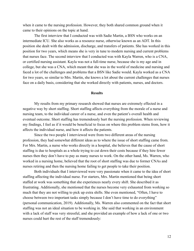when it came to the nursing profession. However, they both shared common ground when it came to their opinions on the topic at hand.

The first interview that I conducted was with Sadie Martin, a BSN who works on an intermediate ICU. She also works as a resource nurse, otherwise known as an ADT. In this position she dealt with the admission, discharge, and transfers of patients. She has worked in this position for two years, which means she is very in tune to modern nursing and current problems that nurses face. The second interview that I conducted was with Kayla Warren, who is a CNA, or certified nursing assistant. Kayla was not a full-time nurse, because she is my age and in college, but she was a CNA, which meant that she was in the world of medicine and nursing and faced a lot of the challenges and problems that a BSN like Sadie would. Kayla worked as a CNA for two years, so similar to Mrs. Martin, she knows a lot about the current challenges that nurses face on a daily basis, considering that she worked directly with patients, nurses, and doctors.

#### **Results**

My results from my primary research showed that nurses are extremely effected in a negative way by short staffing. Short staffing affects everything from the morale of a nurse and nursing team, to the individual career of a nurse, and even the patient's overall health and eventual outcome. Short staffing has tremendously hurt the nursing profession. When reviewing my findings, I feel as if it would be beneficial to focus on where this problem stems from, how it affects the individual nurse, and how it affects the patients.

Since the two people I interviewed were from two different areas of the nursing profession, they had somewhat different ideas as to where the issue of short staffing came from. For Mrs. Martin, a nurse who works directly in a hospital, she believes that the cause of short staffing is due to hospitals as a whole trying to cut down their costs because if they hire fewer nurses then they don't have to pay as many nurses to work. On the other hand, Ms. Warren, who worked in a nursing home, believed that the root of short staffing was due to former CNAs and nurses retiring and then the nursing home failing to get people to take their position.

Both individuals that I interviewed were very passionate when it came to the idea of short staffing affecting the individual nurse. For starters, Mrs. Martin mentioned that being short staffed at work was something that she experiences nearly every shift. She described it as frustrating. Additionally, she mentioned that the nurses become very exhausted from working so much that they are not willing to pick up extra shifts. She even mentioned, "Often, I have to choose between two important tasks simply because I don't have time to do everything" (personal communication, 2019). Additionally, Ms. Warren also commented on the fact that short staffing was not an ideal situation to be working in. She said that working in an environment with a lack of staff was very stressful, and she provided an example of how a lack of one or two nurses could hurt the rest of the staff tremendously: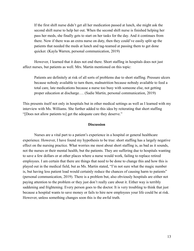If the first shift nurse didn't get all her medication passed at lunch, she might ask the second shift nurse to help her out. When the second shift nurse is finished helping her pass her meds, she finally gets to start on her tasks for the day. And it continues from there. Now if there was an extra nurse on duty, then they could've easily split up the patients that needed the meds at lunch and tag-teamed at passing them to get done quicker. (Kayla Warren, personal communication, 2019)

However, I learned that it does not end there. Short staffing in hospitals does not just affect nurses, but patients as well. Mrs. Martin mentioned on this topic:

Patients are definitely at risk of all sorts of problems due to short staffing. Pressure ulcers because nobody available to turn them, malnutrition because nobody available to feed a total care, late medications because a nurse too busy with someone else, not getting proper education at discharge.... (Sadie Martin, personal communication, 2019)

This presents itself not only in hospitals but in other medical settings as well as I learned with my interview with Ms. Williams. She further added to this idea by reiterating that short staffing "[Does not allow patients to] get the adequate care they deserve."

# **Discussion**

Nurses are a vital part to a patient's experience in a hospital or general healthcare experience. However, I have found my hypothesis to be true: short staffing has a largely negative effect on the nursing practice. What worries me most about short staffing is, as bad as it sounds, not the nurses or their mental health, but the patients. They are suffering due to hospitals wanting to save a few dollars or at other places where a nurse would work, failing to replace retired employees. I am certain that there are things that need to be done to change this and how this is played out in the medical field, but as Ms. Martin stated, "I'm not sure what the magic number is, but having less patient load would certainly reduce the chances of causing harm to patients" (personal communication, 2019). There is a problem but, also obviously hospitals are either not paying attention to the problem or they just don't really care about it. Either way is terribly saddening and frightening. Every person goes to the doctor. It is very troubling to think that just because a hospital wants to save money or fails to hire new employees your life could be at risk. However, unless something changes soon this is the awful truth.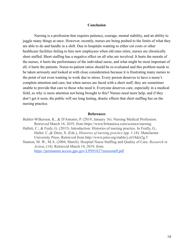## **Conclusion**

Nursing is a profession that requires patience, courage, mental stability, and an ability to juggle many things at once. However, recently, nurses are being pushed to the limits of what they are able to do and handle in a shift. Due to hospitals wanting to either cut costs or other healthcare facilities failing to hire new employees when old ones retire, nurses are chronically short staffed. Short staffing has a negative effect on all who are involved. It hurts the morale of the nurses, it hurts the performance of the individual nurse, and what might be most important of all, it hurts the patients. Nurse-to-patient ratios should be re-evaluated and this problem needs to be taken seriously and looked at with close consideration because it is frustrating many nurses to the point of not even wanting to work due to stress. Every person deserves to have a nurse's complete attention and care, but when nurses are faced with a short staff, they are sometimes unable to provide that care to those who need it. Everyone deserves care, especially in a medical field, so why is more attention not being brought to this? Nurses need more help, and if they don't get it soon, the public will see long lasting, drastic effects that short staffing has on the nursing practice.

## **References**

Buhler-Wilkerson, K., & D'Antonio, P. (2019, January 16). Nursing Medical Profession. Retrieved March 14, 2019, from https://www.britannica.com/science/nursing Hallett, C., & Fealy, G. (2015). Introduction: Histories of nursing practice. In Feally, G., Hallet. C., & Dietz, S. (Eds.), *Histories of nursing practice* (pp. 1-18). Manchester University Press. Retrieved from http://www.jstor.org/stable/j.ctt18dzr2g.5 Stanton, M. W., M.A. (2004, March). Hospital Nurse Staffing and Quality of Care. *Research in* Action, (14). Retrieved March 14, 2019, from

<https://permanent.access.gpo.gov/LPS91827/nursestaff.pdf>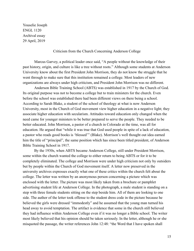Youselie Joseph **ENGL 1120** Archival essay 29 April, 2019

Criticism from the Church Concerning Anderson College

Marcus Garvey, a political leader once said, "A people without the knowledge of their past history, origin, and culture is like a tree without roots." Although some students at Anderson University know about the first President John Morrison, they do not know the struggle that he went through to make sure that this institution remained a college. Most leaders of new organizations are always under high criticism, and President John Morrison was no different.

Anderson Bible Training School (ABTS) was established in 1917 by the Church of God. Its original purpose was not to become a college but to train ministers for the church. Even before the school was established there had been different views on there being a school. According to Sarah Blake, a student of the school of theology at what is now Anderson University, most in the Church of God movement view higher education in a negative light; they associate higher education with secularism. Attitudes toward education only changed when the need came for younger ministers to be better prepared to serve the people. They needed to be better educated. John Morrison, a pastor of a church in Colorado at the time, was all for education. He argued that "while it was true that God used people in spite of a lack of education, a pastor who reads good books is 'blessed'" (Blake). Morrison's well thought out idea earned him the title of "principal", the same position which has since been titled president, of Anderson Bible Training School in 1917.

By the 1930s, when ABTS became Anderson College, still under President Morrison, some within the church wanted the college to either return to being ABTS or for it to be completely eliminated. The college and Morrison were under high criticism not only by outsiders but by people within the Church of God movement itself. A letter now preserved in the university archives expresses exactly what one of these critics within the church felt about the college. The letter was written by an anonymous person concerning a picture which was enclosed with the letter. The picture was most likely taken from a brochure or pamphlet advertising student life at Anderson College. In the photograph, a male student is standing on a step with three female students sitting on the step beside him. All of them are looking to one side. The author of the letter took offense to the student dress code in the picture because he believed the girls were dressed "immodestly" and he assumed that the young man turned his head away to avoid temptation. The artifact is evidence that some in the church still believed they had influence within Anderson College even if it was no longer a Bible school. The writer most likely believed that his opinion should be taken seriously. In the letter, although he or she misquoted the passage, the writer references John 12:48: "the Word that I have spoken shall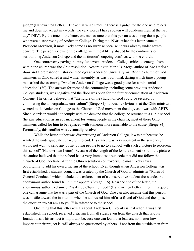judge" (Handwritten Letter). The actual verse states, "There is a judge for the one who rejects me and does not accept my words; the very words I have spoken will condemn them at the last day" (NIV). By the tone of the letter, one can assume that this person was among those people who were disapproving of Anderson College. During the 1930s, when this letter came to President Morrison, it most likely came as no surprise because he was already under severe censure. The person's views of the college were most likely shaped by the controversies surrounding Anderson College and the institution's ongoing conflicts with the church.

One controversy paving the way for several Anderson College critics to emerge from within the church was the Ohio resolution. According to Merle D. Stege, author of *The Desk as Altar* and a professor of historical theology at Anderson University, in 1929 the church of God ministers in Ohio called a mid-winter assembly, as was traditional, during which time a young man asked the assembly, "whether Anderson College was a good place for a ministerial education" (80). The answer for most of the community, including some previous Anderson College students, was negative and the floor was open for the further denunciation of Anderson College. The critics believed that "the future of the church of God could be secured by eliminating the undergraduate curriculum" (Strege 81). It became obvious that the Ohio ministers wanted to tie Anderson College to the Church of God movement theology as it was with ABTS. Since Morrison would not comply with the demand that the college be returned to a Bible school (he saw education as an advancement for young people in the church), most of these Ohio ministers called for him to be replaced with someone more amenable to the cause (Strege 84). Fortunately, this conflict was eventually resolved.

While the letter author was disapproving of Anderson College, it was not because he wanted the undergraduate curriculum to end. His stance was very apparent in the sentence, "I would not want to send any of my young people to go to a school with such a picture to represent this school" (Handwritten Letter). Because of the length of the female student skirt in the picture, the author believed that the school had a very immodest dress code that did not follow the Church of God Doctrine. After the Ohio resolution controversy, he most likely saw an opportunity to add his own criticism of the school. Even though when Anderson College was first established, a student-council was created by the Church of God to administer "Rules of General Conduct," which included the enforcement of a conservative student dress code, the anonymous author found fault in the apparel (Strege 116). Near the end of the letter, the anonymous author exclaimed, "Wake up Church of God" (Handwritten Letter). From this quote, one can assume that he was a part of the Church of God. One can also assume that this person was hostile toward the institution when he addressed himself as a friend of God and then posed the question "What am I to you?" in reference to the school.

One thing that this letter reveals about Anderson University is that when it was first established, the school, received criticism from all sides, even from the church that laid its foundations. This artifact is important because one can learn that leaders, no matter how important their project is, will always be questioned by others, if not from the outside then from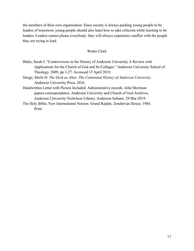the members of their own organization. Since society is always pushing young people to be leaders of tomorrow, young people should also learn how to take criticism while learning to be leaders. Leaders cannot please everybody; they will always experience conflict with the people they are trying to lead.

# Works Cited

- Blake, Sarah J. "Controversies in the History of Anderson University A Review with Applications for the Church of God and Its Colleges." Anderson University School of Theology. 2009, pp.1-27. Accessed 13 April 2019.
- Strege, Merle D. The Desk as Altar: The Centennial History of Anderson University. Anderson University Press, 2016.
- Handwritten Letter with Picture Included. Administrative records. John Morrison papers-correspondence. Anderson University and Church of God Archives, Anderson University Nicholson Library, Anderson Indiana. 29 Mar 2019.
- The Holy Bible, New International Version. Grand Rapids: Zondervan House, 1984. Print.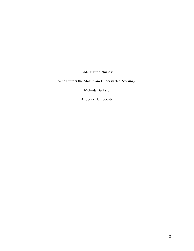Understaffed Nurses:

Who Suffers the Most from Understaffed Nursing?

Melinda Surface

Anderson University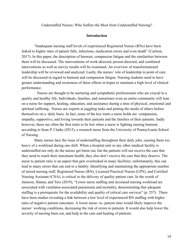Understaffed Nurses: Who Suffers the Most from Understaffed Nursing?

# **Introduction**

"Inadequate nursing staff levels of experienced Registered Nurses (RNs) have been linked to higher rates of patient falls, infections, medication errors and even death" (Carlson, 2017). In this paper, the description of burnout, compassion fatigue and the similarities between them will be discussed. The interventions of work-directed, person-directed, and combined interventions as well as survey results will be examined. An overview of transformational leadership will be reviewed and analyzed. Lastly, the nurses' role of leadership in point of care will be discussed in regard to burnout and compassion fatigue. Nursing students need to have greater understanding and awareness of these effects in hopes to maintain a high level of clinical performance.

Nurses are thought to be nurturing and sympathetic professionals who are crucial to a quality and healthy life. Individuals, families, and sometimes even an entire community will lean on a nurse for support, healing, education, and assistance during a time of physical, emotional and spiritual suffering. Nurses are experts at juggling tasks and putting the needs of others before themselves on a daily basis. In fact, some of the key traits a nurse holds are compassion, empathy, supportive, and loving towards their patients and the families of their patients. Sadly however, these are often the first traits to be lost when a nurse is fighting nursing burnout, according to Sean P. Clarke (2015), a research nurse from the University of Pennsylvania School of Nursing.

Many nurses face the issue of understaffing throughout their daily jobs, causing them too heavy of a workload during one shift. When a hospital unit or any other medical facility is understaffed not only do the nurses get burnt out, but the patients will not receive the care that they need to reach their maximum health, they also don't receive the care that they deserve. The nurse to patient ratio is an aspect that gets overlooked in many facilities; unfortunately, this can lead to many errors that can end in a fatality. Identifying and maintaining the appropriate number of mixed nursing staff, Registered Nurses (RN), Licensed Practical Nurses (LPN), and Certified Nursing Assistant  $(CNA)$ , is critical to the delivery of quality patient care. In the words of Jannson, Hannu, and Tero (2019), "Lower nurse staffing and increased nursing workload are associated with ventilator-associated pneumonia and mortality, demonstrating that adequate staffing is a prerequisite for the availability and quality of critical care services" (p. 257). There have been studies revealing a link between a low level of experienced RN staffing with higher rates of negative patient outcomes. A lower nurse- to- patient ratio would likely improve the nurses' working conditions, decreasing the risk of errors to patients. It would also help lower the severity of nursing burn out, and help in the care and healing of patients.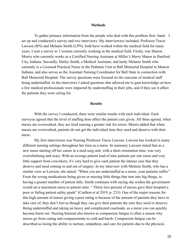#### **Methods**

To gather primary information from the people who deal with this problem first- hand. I set up and conducted a survey and two interviews. My interviewees included, Professor Tracie Lawson (RN) and Melanie Smith (LPN), both have worked within the medical field for many years. I sent a survey to 3 women currently working in the medical field. Firstly, was Sharon Morris who currently works as a Certified Nursing Assistant at Miller's Merry Manor in Hartford City, Indiana. Secondly. Hailey Smith, a Medical Assistant, and lastly Melanie Smith who currently is a Licensed Practical Nurse in the Pediatric Unit at Ball Memorial Hospital in Muncie Indiana, and also serves as the Assistant Nursing Coordinator for Ball State in connection with Ball Memorial Hospital. The survey questions were focused on the outcome of medical staff being understaffed. In the interviews I asked questions that allowed me to gain knowledge on how a few medical professionals were impacted by understaffing in their jobs, and if they see it affect the patients they were caring for.

## **Results**

With the survey I conducted, there were similar results with each individual. Each surveyee agreed that the level of staffing does affect the patient care given. All three agreed, when nurses are overworked, they are tired causing a greater risk for errors. Morris added that when nurses are overworked, patients do not get the individual time they need and deserve with their nurse.

My first interviewee was Nursing Professor Tracie Lawson. Lawson has worked in many different nursing settings throughout her time as a nurse. In summary Lawson stated that as a new nurse starting off her career in a med-surg unit, with a short orientation time, was very overwhelming and scary. With an average patient load of nine patients per one nurse and very little support from coworkers, it's very hard to give each patient the intense care that they deserve and need coming in and out of surgery. In my interview with Melanie Smith, who has a similar view as Lawson, she stated, "When you are understaffed as a nurse, your patients suffer." From the wrong medications being given or missing little things that turn into big things, to having a greater number of patient falls. Smith continues with saying she wishes the government would set a maximum nurse to patient ratio. "Thirty-two percent of nurses gave their hospital a poor or failing patient safety grade" (Carthon et al 2019, p. 233). One of the major reasons for this high amount of nurses giving a poor rating is because of the amount of patients they have to take care of, they don't feel as though they can give their patients the care they need or deserve. Being understaffed and taking on heavy and complicated caseloads, as a nurse you can quickly become burnt out. Nursing burnout also known as compassion fatigue is often a reason why nurses go from caring and compassionate to cold and harsh. Compassion fatigue can be described as losing the ability to nurture, empathize, and care for patients due to the physical,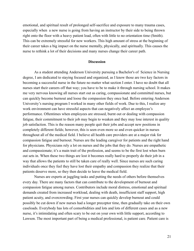emotional, and spiritual result of prolonged self-sacrifice and exposure to many trauma cases, especially when a new nurse is going from having an instructor by their side to being thrown right onto the floor with a heavy patient load, often with little to no orientation time (Smith). This can be extremely stressful for new workers. This high amount of stress at the beginning of their career takes a big impact on the nurse mentally, physically, and spiritually. This causes the nurse to rethink a lot of their decisions and many nurses change their career path.

# **Discussion**

As a student attending Anderson University pursuing a Bachelor's of Science in Nursing degree, I am dedicated to staying focused and organized, as I know those are two key factors in becoming a successful nurse in the future no matter what section I enter. I have no doubt that all nurses start their careers off that way; you have to be to make it through nursing school. It makes me very nervous knowing all nurses start out as caring, compassionate and committed nurses, but can quickly become burnout and loose the compassion they once had. Before entering Anderson University's nursing program I worked in many other fields of work. Due to this, I realize any work environment can have stressful aspects that can negatively affect an employee's performance. Oftentimes when employees are stressed, burnt out or dealing with compassion fatigue, their commitment to their job may begin to weaken and they may lose interest in quality job satisfaction. This is the reason many people quit their jobs and accept new positions in completely different fields; however, this is seen even more so and even quicker in nurses throughout all of the medical field. I believe all health care providers are at a major risk for compassion fatigue and burnout. Nurses are the leading caregiver for patients and the right hand for physicians. Physicians rely a lot on nurses and the jobs that they do. Nurses are empathetic and compassionate; it's a main trait of the profession, and seems to be the first lost when burn out sets in. When these two things are lost it becomes really hard to properly do their job in a way that allows the patients to still be taken care of really well. Since nurses are such caring individuals once they feel they have lost their empathy and compassion they realize that their patients deserve more, so they then decide to leave the medical field.

Nurses are experts at juggling tasks and putting the needs of others before themselves every day. There are many factors that can contribute to the development of burnout and compassion fatigue among nurses. Contributors include moral distress, emotional and spiritual demands created from increased workload, dealing with death, insufficient staff support, high patient acuity, and overcrowding. First year nurses can quickly develop burnout and could possibly be cut down if new nurses had a longer preceptor time, then gradually take on their own caseloads. Everybody has lots of comorbidities and lots and lots of different cases and as a new nurse, it's intimidating and often scary to be out on your own with little support, according to Lawson. The most important part of being a medical professional, is patient care. Patient care is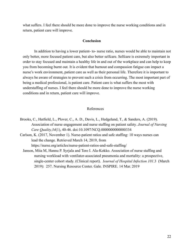what suffers. I feel there should be more done to improve the nurse working conditions and in return, patient care will improve.

# **Conclusion**

In addition to having a lower patient- to- nurse ratio, nurses would be able to maintain not only better, more focused patient care, but also better selfcare. Selfcare is extremely important in order to stay focused and maintain a healthy life in and out of the workplace and can help to keep you from becoming burnt out. It is evident that burnout and compassion fatigue can impact a nurse's work environment, patient care as well as their personal life. Therefore it is important to always be aware of strategies to prevent such a crisis from occurring. The most important part of being a medical professional, is patient care. Patient care is what suffers the most with understaffing of nurses. I feel there should be more done to improve the nurse working conditions and in return, patient care will improve.

# References

- Brooks, C., Hatfield, L., Plover, C., A. D., Davis, L., Hedgeland, T.,  $\&$  Sanders, A. (2019). Association of nurse engagement and nurse staffing on patient safety. *Journal of Nursing Care Quality,34* (1), 40-46. doi:10.1097/NCQ.0000000000000334
- Carlson, K. (2017, November 1). Nurse-patient ratios and safe staffing: 10 ways nurses can lead the change. Retrieved March 14, 2019, from https://nurse.org/articles/nurse-patient-ratios-and-safe-staffing/
	- Janson, Miia M, Hannu P. Syrjala and Tero I. Ala-Kokko. Association of nurse staffing and nursing workload with ventilator-associated pneumonia and mortality: a prospective, single-center cohort study. (Clinical report). Journal of Hospital Infection 101.3 (March 2019): 257. Nursing Resource Center. Gale. INSPIRE. 14 Mar. 2019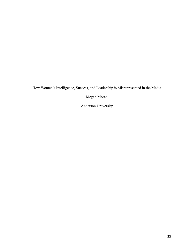How Women's Intelligence, Success, and Leadership is Misrepresented in the Media

Megan Moran

Anderson University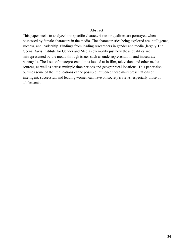## Abstract

This paper seeks to analyze how specific characteristics or qualities are portrayed when possessed by female characters in the media. The characteristics being explored are intelligence, success, and leadership. Findings from leading researchers in gender and media (largely The Geena Davis Institute for Gender and Media) exemplify just how these qualities are misrepresented by the media through issues such as underrepresentation and inaccurate portrayals. The issue of misrepresentation is looked at in film, television, and other media sources, as well as across multiple time periods and geographical locations. This paper also outlines some of the implications of the possible influence these misrepresentations of intelligent, successful, and leading women can have on society's views, especially those of adolescents.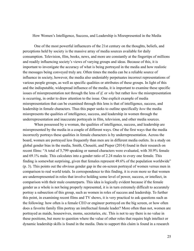## How Women's Intelligence, Success, and Leadership is Misrepresented in the Media

One of the most powerful influencers of the 21st century on the thoughts, beliefs, and perceptions held by society is the massive array of media sources available for daily consumption. Television, film, books, news, and more are constantly at the fingertips of millions and readily influencing society's views of varying groups and ideas. Because of this, it is important to investigate the accuracy of what is being portrayed in the media and how realistic the messages being conveyed truly are. Often times the media can be a reliable source of influence in society, however, the media also undeniably perpetuates incorrect representations of various people groups, as well as specific qualities or attributes of these groups. In light of this and the indisputable, widespread influence of the media, it is important to examine these specific issues of misrepresentation not through the lens of *if,* or *why* but rather *how* the misrepresentation is occurring, in order to draw attention to the issue. One explicit example of media misrepresentation that can be examined through this lens is that of intelligence, success, and leadership in female characters. Thus this paper seeks to outline specifically *how* the media misrepresents the qualities of intelligence, success, and leadership in women through the underrepresentation and inaccurate portrayals in film, television, and other media sources.

When possessed by a woman, the qualities of intelligence, success, and leadership are misrepresented by the media in a couple of different ways. One of the first ways that the media incorrectly portrays these qualities in female characters is by underrepresentation. Across the board, women are portrayed less frequently than men are in different media outlets. In a study on global gender bias in the media, Smith, Choueiti, and Pieper (2014) found in their research on recent films: "A total of 5,799 speaking or named characters were evaluated, with 30.9% female and 69.1% male. This calculates into a gender ratio of 2.24 males to every one female. This finding is somewhat surprising, given that females represent  $49.6\%$  of the population worldwide"  $(p. 3)$ . This points out the obvious gender gap in the on-screen portrayal of women versus men in comparison to real world totals. In correspondence to this finding, it is even more so that women are underrepresented in roles that involve holding some level of power, success, or intellect, in comparison with their male counterparts. This idea is logically evident because if the female gender as a whole is not being properly represented, it is in turn extremely difficult to accurately portray a subsection of this group, such as women in roles of success and leadership. To further this point, in examining recent films and TV shows, it is very practical to ask questions such as the following: how often is a female CEO or engineer portrayed on the big screen, or how often does a favorite family film portray an intellectual female leader? More often than not, women are portrayed as maids, housewives, moms, secretaries, etc. This is not to say there is no value in these positions, but more to question where the value of other roles that require high intellect or dynamic leadership skills is found in the media. Data to support this claim is found in a research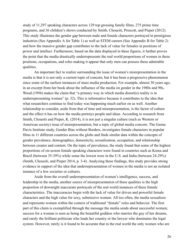study of 11,297 speaking characters across 129 top grossing family films, 275 prime time programs, and 36 children's shows conducted by Smith, Choueiti, Prescott, and Pieper (2012). This study illustrates the gender gap between male and female characters portrayed in prestigious industries (See Appendix A for Table 1) as well as STEM careers (See Appendix B for Table 2) and how the massive gender gap contributes to the lack of value for females in positions of power and intellect. Furthermore, based on the data displayed in these figures, it further proves the point that the media drastically underrepresents the real world proportions of women in these positions, occupations, and roles making it appear that only men can possess these admirable qualities.

An important fact to realize surrounding the issue of women's misrepresentation in the media is that it is not only a current topic of concern, but it has been a progressive phenomenon since some of the earliest instances of mass media production. For example, almost 30 years ago, in an excerpt from her book about the influence of the media on gender in the 1980s and 90s, Wood  $(1994)$  makes the claim that "a primary way in which media distort(s) reality is in underrepresenting women"  $(p. 32)$ . This is informative because it contributes to the idea that what researchers continue to find today was happening much earlier on as well. Another relationship to consider, aside from that of time and misrepresentation, is the factor of culture and the effect it has on how the media portrays people and ideas. According to research from Smith, Chouetti and Pieper, K.  $(2014)$ , it is not just a singular culture (such as Western or American society) issue of misrepresentation, but a topic of global media concern. The Geena Davis Institute study, Gender Bias without Borders, investigates female characters in popular films in 11 different countries across the globe and finds similar data within the concepts of gender prevalence, demographics, domesticity, sexualization, occupation, and relationship between creator and content. On the topic of prevalence, the study found that some of the highest proportions of on-screen female speaking characters were found in countries such as Korea and Brazil (between 35-39%) while some the lowest were in the U.S. and India (between 24-29%) (Smith, Choueiti, and Pieper 2014, p. 3-4). Analyzing these findings, this study provides strong evidence in support of the idea that underrepresentation of women in the media is not an isolated instance of a few societies or cultures.

Aside from the overall underrepresentation of women's intelligence, success, and leadership in the media, another source of misrepresentation of these qualities is the high proportion of downright inaccurate portrayals of the real world instances of these female characteristics. The inaccuracies begin with the lack of value for driven and powerful female characters and the high value for sexy, submissive women. All too often, the media sexualizes and represents women within the context of traditional "female" roles and behavior. The first part of this claim is exemplified through the message the media sends about successful women; success for a woman is seen as being the beautiful goddess who marries the guy of her dreams, and rarely the brilliant politician who leads her country or the lawyer who dominates the legal system. However, rarely is it found to be accurate that in the real world the only women who are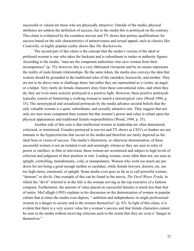successful or valued are those who are physically attractive. Outside of the media, physical attributes are seldom the definition of success, but in the media this is portrayed on the contrary. This claim is evidenced by the countless movies and TV shows that portray qualifications for success based on the sole characteristics of attractiveness and sexual appeal, such as classics like *Cinderella,* or highly popular reality shows like *The Bachelorette.* 

The second part of this claim is the concept that the media's version of the ideal or preferred woman is one who takes the backseat and is subordinate to males or authority figures. According to the media, "men are the competent authorities who save women from their incompetence"  $(p. 35)$ ; however, this is a very fabricated viewpoint and by no means represents the reality of male-female relationships. By the same token, the media also conveys the idea that women should be grounded in the traditional roles of the caretaker, housewife, and mother. They are not to be above men or challenge them, but rather they are represented as a victim, an angel, or a helper. Very rarely do female characters stray from these conventional roles, and when they do, they are even more scarcely portrayed in a positive light. However, these positive portrayals typically consist of feminizing a working woman to match a stereotypical view (Wood 1994, p. 33). The stereotypical and sexualized portrayals by the media advance societal beliefs that the only valuable woman is a quiet, subordinate, and sexually attractive one. They suggest that not only are men more competent than women but that women's power and value is reliant upon her physical appearances and traditional female responsibilities (Wood, 1994, p. 35).

Another side of this coin is that intellectual women in leadership are often demonized, criticized, or minimized. Females portrayed in movies and TV shows as CEO's or leaders are not immune to the hypercriticism that occurs in the media and therefore are rarely depicted as the ideal boss or vision of success. The media's illustration, or otherwise demonization, of these successful women is not an isolated event and seemingly whenever they are seen in roles of power or intellect, in film or television, these women are scrutinized and subject to high levels of criticism and judgment of their position or role. Leading women, more often than not, are seen as uptight, controlling, melodramatic, cold, or manipulatory. Women who work too much are put down for not being a good enough mother or caretaker, while female lawyers, doctors, etc. are too high-stress, emotional, or uptight. Some media even goes as far as to call powerful women, "demons" or devils. One example of this can be found in the movie, *The Devil Wears Prada*, in which the "devil" referred to in the title is the woman serving as the top executive of a fashion company. Furthermore, the amount of value placed on successful females is much less than that of males. McCullagh (1993) explains in his discussion on the demonization of women in popular culture that at times the media even depicts, " ambition and independence in single professional women as a danger to society and to the women themselves"  $(p. 85)$ . In light of this claim, it is evident that there is a very scarce value for a woman's success and that female characters cannot be seen in the media without receiving criticism such to the extent that they are even a "danger to themselves."